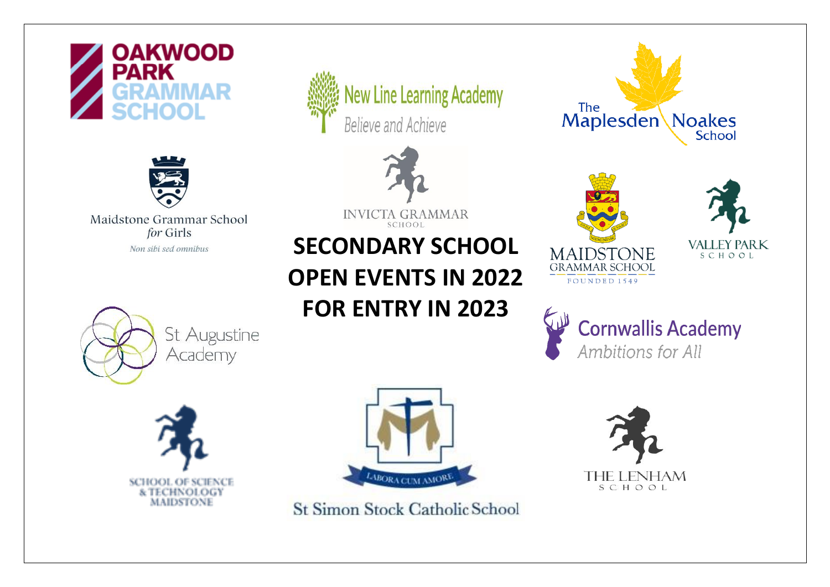



Maidstone Grammar School









**INVICTA GRAMMAR** SCHOOL

## For Girls<br>Non sibi sed omnibus<br>**SECONDARY SCHOOL OPEN EVENTS IN 2022 FOR ENTRY IN 2023**



The

Maplesden



**Noakes** 

**School** 

**Cornwallis Academy** Ambitions for All



St Simon Stock Catholic School

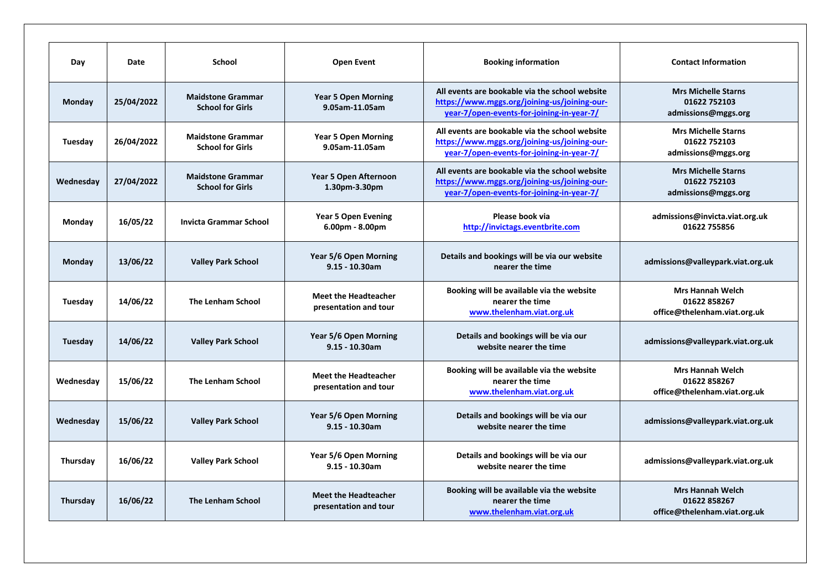| Day       | Date       | <b>School</b>                                       | <b>Open Event</b>                                    | <b>Booking information</b>                                                                                                                  | <b>Contact Information</b>                                              |
|-----------|------------|-----------------------------------------------------|------------------------------------------------------|---------------------------------------------------------------------------------------------------------------------------------------------|-------------------------------------------------------------------------|
| Monday    | 25/04/2022 | <b>Maidstone Grammar</b><br><b>School for Girls</b> | <b>Year 5 Open Morning</b><br>9.05am-11.05am         | All events are bookable via the school website<br>https://www.mggs.org/joining-us/joining-our-<br>year-7/open-events-for-joining-in-year-7/ | <b>Mrs Michelle Starns</b><br>01622 752103<br>admissions@mggs.org       |
| Tuesday   | 26/04/2022 | <b>Maidstone Grammar</b><br><b>School for Girls</b> | <b>Year 5 Open Morning</b><br>9.05am-11.05am         | All events are bookable via the school website<br>https://www.mggs.org/joining-us/joining-our-<br>year-7/open-events-for-joining-in-year-7/ | <b>Mrs Michelle Starns</b><br>01622 752103<br>admissions@mggs.org       |
| Wednesday | 27/04/2022 | <b>Maidstone Grammar</b><br><b>School for Girls</b> | <b>Year 5 Open Afternoon</b><br>1.30pm-3.30pm        | All events are bookable via the school website<br>https://www.mggs.org/joining-us/joining-our-<br>year-7/open-events-for-joining-in-year-7/ | <b>Mrs Michelle Starns</b><br>01622 752103<br>admissions@mggs.org       |
| Monday    | 16/05/22   | <b>Invicta Grammar School</b>                       | <b>Year 5 Open Evening</b><br>$6.00pm - 8.00pm$      | Please book via<br>http://invictags.eventbrite.com                                                                                          | admissions@invicta.viat.org.uk<br>01622 755856                          |
| Monday    | 13/06/22   | <b>Valley Park School</b>                           | Year 5/6 Open Morning<br>$9.15 - 10.30$ am           | Details and bookings will be via our website<br>nearer the time                                                                             | admissions@valleypark.viat.org.uk                                       |
| Tuesday   | 14/06/22   | <b>The Lenham School</b>                            | <b>Meet the Headteacher</b><br>presentation and tour | Booking will be available via the website<br>nearer the time<br>www.thelenham.viat.org.uk                                                   | <b>Mrs Hannah Welch</b><br>01622 858267<br>office@thelenham.viat.org.uk |
| Tuesday   | 14/06/22   | <b>Valley Park School</b>                           | Year 5/6 Open Morning<br>$9.15 - 10.30$ am           | Details and bookings will be via our<br>website nearer the time                                                                             | admissions@valleypark.viat.org.uk                                       |
| Wednesday | 15/06/22   | <b>The Lenham School</b>                            | <b>Meet the Headteacher</b><br>presentation and tour | Booking will be available via the website<br>nearer the time<br>www.thelenham.viat.org.uk                                                   | <b>Mrs Hannah Welch</b><br>01622 858267<br>office@thelenham.viat.org.uk |
| Wednesday | 15/06/22   | <b>Valley Park School</b>                           | Year 5/6 Open Morning<br>$9.15 - 10.30$ am           | Details and bookings will be via our<br>website nearer the time                                                                             | admissions@valleypark.viat.org.uk                                       |
| Thursday  | 16/06/22   | <b>Valley Park School</b>                           | Year 5/6 Open Morning<br>$9.15 - 10.30$ am           | Details and bookings will be via our<br>website nearer the time                                                                             | admissions@valleypark.viat.org.uk                                       |
| Thursday  | 16/06/22   | <b>The Lenham School</b>                            | <b>Meet the Headteacher</b><br>presentation and tour | Booking will be available via the website<br>nearer the time<br>www.thelenham.viat.org.uk                                                   | <b>Mrs Hannah Welch</b><br>01622 858267<br>office@thelenham.viat.org.uk |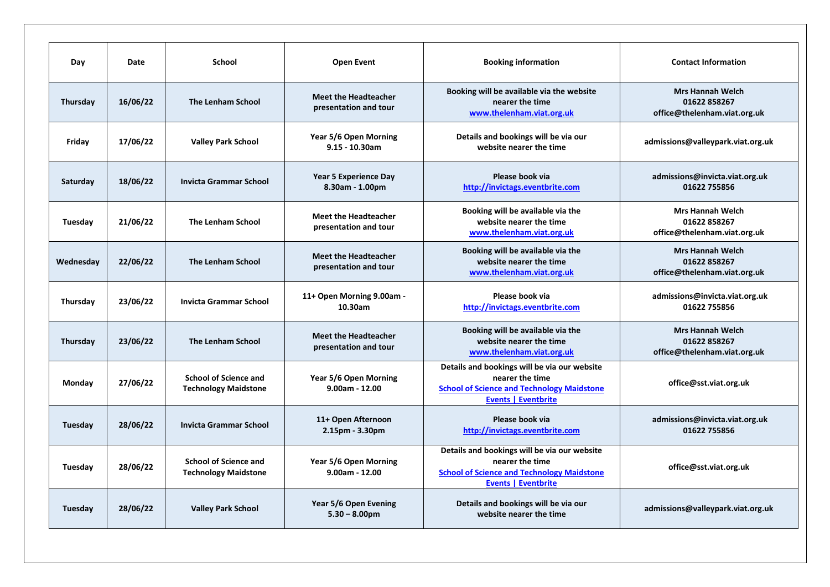| Day       | Date     | School                                                      | <b>Open Event</b>                                    | <b>Booking information</b>                                                                                                                         | <b>Contact Information</b>                                              |
|-----------|----------|-------------------------------------------------------------|------------------------------------------------------|----------------------------------------------------------------------------------------------------------------------------------------------------|-------------------------------------------------------------------------|
| Thursday  | 16/06/22 | <b>The Lenham School</b>                                    | <b>Meet the Headteacher</b><br>presentation and tour | Booking will be available via the website<br>nearer the time<br>www.thelenham.viat.org.uk                                                          | <b>Mrs Hannah Welch</b><br>01622 858267<br>office@thelenham.viat.org.uk |
| Friday    | 17/06/22 | <b>Valley Park School</b>                                   | Year 5/6 Open Morning<br>$9.15 - 10.30$ am           | Details and bookings will be via our<br>website nearer the time                                                                                    | admissions@valleypark.viat.org.uk                                       |
| Saturday  | 18/06/22 | <b>Invicta Grammar School</b>                               | <b>Year 5 Experience Day</b><br>8.30am - 1.00pm      | Please book via<br>http://invictags.eventbrite.com                                                                                                 | admissions@invicta.viat.org.uk<br>01622 755856                          |
| Tuesday   | 21/06/22 | <b>The Lenham School</b>                                    | <b>Meet the Headteacher</b><br>presentation and tour | Booking will be available via the<br>website nearer the time<br>www.thelenham.viat.org.uk                                                          | <b>Mrs Hannah Welch</b><br>01622 858267<br>office@thelenham.viat.org.uk |
| Wednesday | 22/06/22 | <b>The Lenham School</b>                                    | <b>Meet the Headteacher</b><br>presentation and tour | Booking will be available via the<br>website nearer the time<br>www.thelenham.viat.org.uk                                                          | <b>Mrs Hannah Welch</b><br>01622 858267<br>office@thelenham.viat.org.uk |
| Thursday  | 23/06/22 | <b>Invicta Grammar School</b>                               | 11+ Open Morning 9.00am -<br>10.30am                 | Please book via<br>http://invictags.eventbrite.com                                                                                                 | admissions@invicta.viat.org.uk<br>01622 755856                          |
| Thursday  | 23/06/22 | <b>The Lenham School</b>                                    | <b>Meet the Headteacher</b><br>presentation and tour | Booking will be available via the<br>website nearer the time<br>www.thelenham.viat.org.uk                                                          | <b>Mrs Hannah Welch</b><br>01622 858267<br>office@thelenham.viat.org.uk |
| Monday    | 27/06/22 | <b>School of Science and</b><br><b>Technology Maidstone</b> | Year 5/6 Open Morning<br>9.00am - 12.00              | Details and bookings will be via our website<br>nearer the time<br><b>School of Science and Technology Maidstone</b><br><b>Events   Eventbrite</b> | office@sst.viat.org.uk                                                  |
| Tuesday   | 28/06/22 | <b>Invicta Grammar School</b>                               | 11+ Open Afternoon<br>2.15pm - 3.30pm                | Please book via<br>http://invictags.eventbrite.com                                                                                                 | admissions@invicta.viat.org.uk<br>01622 755856                          |
| Tuesday   | 28/06/22 | <b>School of Science and</b><br><b>Technology Maidstone</b> | Year 5/6 Open Morning<br>$9.00am - 12.00$            | Details and bookings will be via our website<br>nearer the time<br><b>School of Science and Technology Maidstone</b><br><b>Events   Eventbrite</b> | office@sst.viat.org.uk                                                  |
| Tuesday   | 28/06/22 | <b>Valley Park School</b>                                   | Year 5/6 Open Evening<br>$5.30 - 8.00$ pm            | Details and bookings will be via our<br>website nearer the time                                                                                    | admissions@valleypark.viat.org.uk                                       |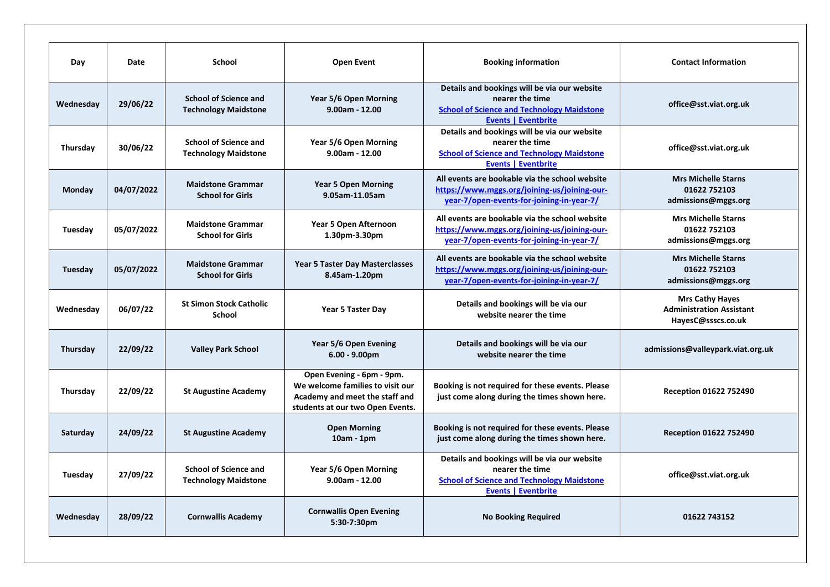| Day       | Date       | School                                                      | <b>Open Event</b>                                                                                                                   | <b>Booking information</b>                                                                                                                         | <b>Contact Information</b>                                                      |
|-----------|------------|-------------------------------------------------------------|-------------------------------------------------------------------------------------------------------------------------------------|----------------------------------------------------------------------------------------------------------------------------------------------------|---------------------------------------------------------------------------------|
| Wednesday | 29/06/22   | <b>School of Science and</b><br><b>Technology Maidstone</b> | Year 5/6 Open Morning<br>$9.00am - 12.00$                                                                                           | Details and bookings will be via our website<br>nearer the time<br><b>School of Science and Technology Maidstone</b><br><b>Events   Eventbrite</b> | office@sst.viat.org.uk                                                          |
| Thursday  | 30/06/22   | <b>School of Science and</b><br><b>Technology Maidstone</b> | Year 5/6 Open Morning<br>$9.00am - 12.00$                                                                                           | Details and bookings will be via our website<br>nearer the time<br><b>School of Science and Technology Maidstone</b><br><b>Events   Eventbrite</b> | office@sst.viat.org.uk                                                          |
| Monday    | 04/07/2022 | <b>Maidstone Grammar</b><br><b>School for Girls</b>         | <b>Year 5 Open Morning</b><br>9.05am-11.05am                                                                                        | All events are bookable via the school website<br>https://www.mggs.org/joining-us/joining-our-<br>year-7/open-events-for-joining-in-year-7/        | <b>Mrs Michelle Starns</b><br>01622 752103<br>admissions@mggs.org               |
| Tuesday   | 05/07/2022 | <b>Maidstone Grammar</b><br><b>School for Girls</b>         | Year 5 Open Afternoon<br>1.30pm-3.30pm                                                                                              | All events are bookable via the school website<br>https://www.mggs.org/joining-us/joining-our-<br>year-7/open-events-for-joining-in-year-7/        | <b>Mrs Michelle Starns</b><br>01622 752103<br>admissions@mggs.org               |
| Tuesday   | 05/07/2022 | <b>Maidstone Grammar</b><br><b>School for Girls</b>         | <b>Year 5 Taster Day Masterclasses</b><br>8.45am-1.20pm                                                                             | All events are bookable via the school website<br>https://www.mggs.org/joining-us/joining-our-<br>year-7/open-events-for-joining-in-year-7/        | <b>Mrs Michelle Starns</b><br>01622 752103<br>admissions@mggs.org               |
| Wednesday | 06/07/22   | <b>St Simon Stock Catholic</b><br><b>School</b>             | Year 5 Taster Day                                                                                                                   | Details and bookings will be via our<br>website nearer the time                                                                                    | <b>Mrs Cathy Hayes</b><br><b>Administration Assistant</b><br>HayesC@ssscs.co.uk |
| Thursday  | 22/09/22   | <b>Valley Park School</b>                                   | Year 5/6 Open Evening<br>$6.00 - 9.00$ pm                                                                                           | Details and bookings will be via our<br>website nearer the time                                                                                    | admissions@valleypark.viat.org.uk                                               |
| Thursday  | 22/09/22   | <b>St Augustine Academy</b>                                 | Open Evening - 6pm - 9pm.<br>We welcome families to visit our<br>Academy and meet the staff and<br>students at our two Open Events. | Booking is not required for these events. Please<br>just come along during the times shown here.                                                   | Reception 01622 752490                                                          |
| Saturday  | 24/09/22   | <b>St Augustine Academy</b>                                 | <b>Open Morning</b><br>$10am - 1pm$                                                                                                 | Booking is not required for these events. Please<br>just come along during the times shown here.                                                   | <b>Reception 01622 752490</b>                                                   |
| Tuesday   | 27/09/22   | <b>School of Science and</b><br><b>Technology Maidstone</b> | Year 5/6 Open Morning<br>$9.00am - 12.00$                                                                                           | Details and bookings will be via our website<br>nearer the time<br><b>School of Science and Technology Maidstone</b><br><b>Events   Eventbrite</b> | office@sst.viat.org.uk                                                          |
| Wednesday | 28/09/22   | <b>Cornwallis Academy</b>                                   | <b>Cornwallis Open Evening</b><br>5:30-7:30pm                                                                                       | <b>No Booking Required</b>                                                                                                                         | 01622 743152                                                                    |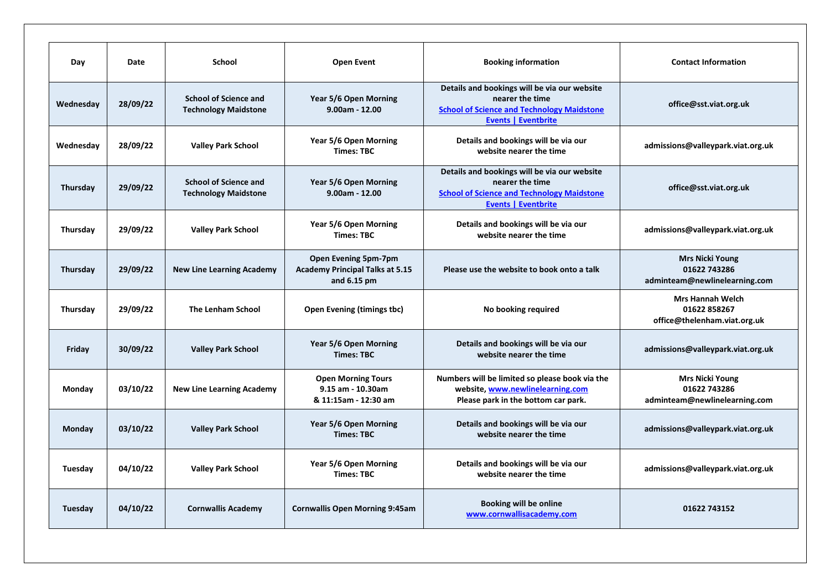| Day             | Date     | <b>School</b>                                               | <b>Open Event</b>                                                               | <b>Booking information</b>                                                                                                                         | <b>Contact Information</b>                                              |
|-----------------|----------|-------------------------------------------------------------|---------------------------------------------------------------------------------|----------------------------------------------------------------------------------------------------------------------------------------------------|-------------------------------------------------------------------------|
| Wednesday       | 28/09/22 | <b>School of Science and</b><br><b>Technology Maidstone</b> | Year 5/6 Open Morning<br>$9.00am - 12.00$                                       | Details and bookings will be via our website<br>nearer the time<br><b>School of Science and Technology Maidstone</b><br><b>Events   Eventbrite</b> | office@sst.viat.org.uk                                                  |
| Wednesday       | 28/09/22 | <b>Valley Park School</b>                                   | Year 5/6 Open Morning<br><b>Times: TBC</b>                                      | Details and bookings will be via our<br>website nearer the time                                                                                    | admissions@valleypark.viat.org.uk                                       |
| Thursday        | 29/09/22 | <b>School of Science and</b><br><b>Technology Maidstone</b> | Year 5/6 Open Morning<br>$9.00am - 12.00$                                       | Details and bookings will be via our website<br>nearer the time<br><b>School of Science and Technology Maidstone</b><br><b>Events   Eventbrite</b> | office@sst.viat.org.uk                                                  |
| <b>Thursday</b> | 29/09/22 | <b>Valley Park School</b>                                   | Year 5/6 Open Morning<br><b>Times: TBC</b>                                      | Details and bookings will be via our<br>website nearer the time                                                                                    | admissions@valleypark.viat.org.uk                                       |
| Thursday        | 29/09/22 | <b>New Line Learning Academy</b>                            | Open Evening 5pm-7pm<br><b>Academy Principal Talks at 5.15</b><br>and $6.15$ pm | Please use the website to book onto a talk                                                                                                         | <b>Mrs Nicki Young</b><br>01622 743286<br>adminteam@newlinelearning.com |
| Thursday        | 29/09/22 | The Lenham School                                           | <b>Open Evening (timings tbc)</b>                                               | No booking required                                                                                                                                | <b>Mrs Hannah Welch</b><br>01622 858267<br>office@thelenham.viat.org.uk |
| Friday          | 30/09/22 | <b>Valley Park School</b>                                   | Year 5/6 Open Morning<br><b>Times: TBC</b>                                      | Details and bookings will be via our<br>website nearer the time                                                                                    | admissions@valleypark.viat.org.uk                                       |
| Monday          | 03/10/22 | <b>New Line Learning Academy</b>                            | <b>Open Morning Tours</b><br>9.15 am - 10.30am<br>& 11:15am - 12:30 am          | Numbers will be limited so please book via the<br>website, www.newlinelearning.com<br>Please park in the bottom car park.                          | <b>Mrs Nicki Young</b><br>01622 743286<br>adminteam@newlinelearning.com |
| Monday          | 03/10/22 | <b>Valley Park School</b>                                   | Year 5/6 Open Morning<br><b>Times: TBC</b>                                      | Details and bookings will be via our<br>website nearer the time                                                                                    | admissions@valleypark.viat.org.uk                                       |
| Tuesday         | 04/10/22 | <b>Valley Park School</b>                                   | Year 5/6 Open Morning<br><b>Times: TBC</b>                                      | Details and bookings will be via our<br>website nearer the time                                                                                    | admissions@valleypark.viat.org.uk                                       |
| Tuesday         | 04/10/22 | <b>Cornwallis Academy</b>                                   | <b>Cornwallis Open Morning 9:45am</b>                                           | <b>Booking will be online</b><br>www.cornwallisacademy.com                                                                                         | 01622 743152                                                            |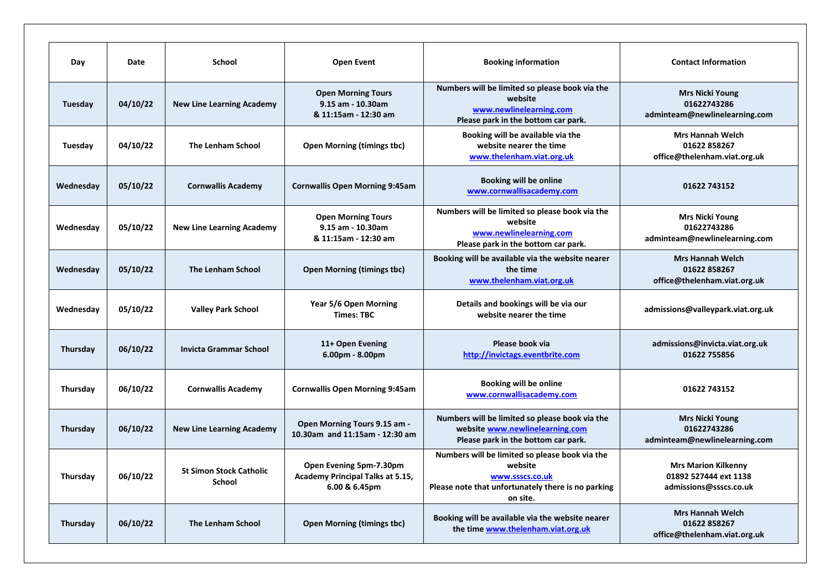| Day             | Date     | School                                          | <b>Open Event</b>                                                            | <b>Booking information</b>                                                                                                                     | <b>Contact Information</b>                                                    |
|-----------------|----------|-------------------------------------------------|------------------------------------------------------------------------------|------------------------------------------------------------------------------------------------------------------------------------------------|-------------------------------------------------------------------------------|
| Tuesday         | 04/10/22 | <b>New Line Learning Academy</b>                | <b>Open Morning Tours</b><br>9.15 am - 10.30am<br>& 11:15am - 12:30 am       | Numbers will be limited so please book via the<br>website<br>www.newlinelearning.com<br>Please park in the bottom car park.                    | <b>Mrs Nicki Young</b><br>01622743286<br>adminteam@newlinelearning.com        |
| Tuesday         | 04/10/22 | <b>The Lenham School</b>                        | <b>Open Morning (timings tbc)</b>                                            | Booking will be available via the<br>website nearer the time<br>www.thelenham.viat.org.uk                                                      | <b>Mrs Hannah Welch</b><br>01622 858267<br>office@thelenham.viat.org.uk       |
| Wednesday       | 05/10/22 | <b>Cornwallis Academy</b>                       | <b>Cornwallis Open Morning 9:45am</b>                                        | Booking will be online<br>www.cornwallisacademy.com                                                                                            | 01622 743152                                                                  |
| Wednesday       | 05/10/22 | <b>New Line Learning Academy</b>                | <b>Open Morning Tours</b><br>9.15 am - 10.30am<br>& 11:15am - 12:30 am       | Numbers will be limited so please book via the<br>website<br>www.newlinelearning.com<br>Please park in the bottom car park.                    | <b>Mrs Nicki Young</b><br>01622743286<br>adminteam@newlinelearning.com        |
| Wednesday       | 05/10/22 | <b>The Lenham School</b>                        | <b>Open Morning (timings tbc)</b>                                            | Booking will be available via the website nearer<br>the time<br>www.thelenham.viat.org.uk                                                      | <b>Mrs Hannah Welch</b><br>01622 858267<br>office@thelenham.viat.org.uk       |
| Wednesday       | 05/10/22 | <b>Valley Park School</b>                       | Year 5/6 Open Morning<br><b>Times: TBC</b>                                   | Details and bookings will be via our<br>website nearer the time                                                                                | admissions@valleypark.viat.org.uk                                             |
| Thursday        | 06/10/22 | <b>Invicta Grammar School</b>                   | 11+ Open Evening<br>6.00pm - 8.00pm                                          | Please book via<br>http://invictags.eventbrite.com                                                                                             | admissions@invicta.viat.org.uk<br>01622 755856                                |
| Thursday        | 06/10/22 | <b>Cornwallis Academy</b>                       | <b>Cornwallis Open Morning 9:45am</b>                                        | <b>Booking will be online</b><br>www.cornwallisacademy.com                                                                                     | 01622 743152                                                                  |
| Thursday        | 06/10/22 | <b>New Line Learning Academy</b>                | <b>Open Morning Tours 9.15 am -</b><br>10.30am and 11:15am - 12:30 am        | Numbers will be limited so please book via the<br>website www.newlinelearning.com<br>Please park in the bottom car park.                       | <b>Mrs Nicki Young</b><br>01622743286<br>adminteam@newlinelearning.com        |
| Thursday        | 06/10/22 | <b>St Simon Stock Catholic</b><br><b>School</b> | Open Evening 5pm-7.30pm<br>Academy Principal Talks at 5.15,<br>6.00 & 6.45pm | Numbers will be limited so please book via the<br>website<br>www.ssscs.co.uk<br>Please note that unfortunately there is no parking<br>on site. | <b>Mrs Marion Kilkenny</b><br>01892 527444 ext 1138<br>admissions@ssscs.co.uk |
| <b>Thursday</b> | 06/10/22 | <b>The Lenham School</b>                        | <b>Open Morning (timings tbc)</b>                                            | Booking will be available via the website nearer<br>the time www.thelenham.viat.org.uk                                                         | <b>Mrs Hannah Welch</b><br>01622 858267<br>office@thelenham.viat.org.uk       |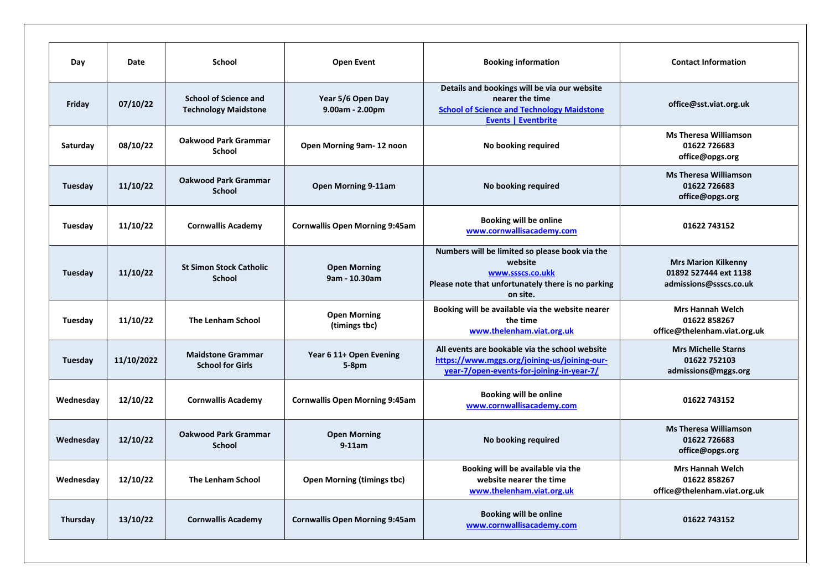| Day       | Date       | <b>School</b>                                               | <b>Open Event</b>                     | <b>Booking information</b>                                                                                                                         | <b>Contact Information</b>                                                    |
|-----------|------------|-------------------------------------------------------------|---------------------------------------|----------------------------------------------------------------------------------------------------------------------------------------------------|-------------------------------------------------------------------------------|
| Friday    | 07/10/22   | <b>School of Science and</b><br><b>Technology Maidstone</b> | Year 5/6 Open Day<br>9.00am - 2.00pm  | Details and bookings will be via our website<br>nearer the time<br><b>School of Science and Technology Maidstone</b><br><b>Events   Eventbrite</b> | office@sst.viat.org.uk                                                        |
| Saturday  | 08/10/22   | <b>Oakwood Park Grammar</b><br>School                       | Open Morning 9am-12 noon              | No booking required                                                                                                                                | <b>Ms Theresa Williamson</b><br>01622 726683<br>office@opgs.org               |
| Tuesday   | 11/10/22   | <b>Oakwood Park Grammar</b><br><b>School</b>                | <b>Open Morning 9-11am</b>            | No booking required                                                                                                                                | <b>Ms Theresa Williamson</b><br>01622 726683<br>office@opgs.org               |
| Tuesday   | 11/10/22   | <b>Cornwallis Academy</b>                                   | <b>Cornwallis Open Morning 9:45am</b> | <b>Booking will be online</b><br>www.cornwallisacademy.com                                                                                         | 01622 743152                                                                  |
| Tuesday   | 11/10/22   | <b>St Simon Stock Catholic</b><br><b>School</b>             | <b>Open Morning</b><br>9am - 10.30am  | Numbers will be limited so please book via the<br>website<br>www.ssscs.co.ukk<br>Please note that unfortunately there is no parking<br>on site.    | <b>Mrs Marion Kilkenny</b><br>01892 527444 ext 1138<br>admissions@ssscs.co.uk |
| Tuesday   | 11/10/22   | <b>The Lenham School</b>                                    | <b>Open Morning</b><br>(timings tbc)  | Booking will be available via the website nearer<br>the time<br>www.thelenham.viat.org.uk                                                          | <b>Mrs Hannah Welch</b><br>01622 858267<br>office@thelenham.viat.org.uk       |
| Tuesday   | 11/10/2022 | <b>Maidstone Grammar</b><br><b>School for Girls</b>         | Year 6 11+ Open Evening<br>$5-8$ pm   | All events are bookable via the school website<br>https://www.mggs.org/joining-us/joining-our-<br>year-7/open-events-for-joining-in-year-7/        | <b>Mrs Michelle Starns</b><br>01622 752103<br>admissions@mggs.org             |
| Wednesday | 12/10/22   | <b>Cornwallis Academy</b>                                   | <b>Cornwallis Open Morning 9:45am</b> | <b>Booking will be online</b><br>www.cornwallisacademy.com                                                                                         | 01622 743152                                                                  |
| Wednesday | 12/10/22   | <b>Oakwood Park Grammar</b><br><b>School</b>                | <b>Open Morning</b><br>$9-11am$       | No booking required                                                                                                                                | <b>Ms Theresa Williamson</b><br>01622 726683<br>office@opgs.org               |
| Wednesday | 12/10/22   | <b>The Lenham School</b>                                    | <b>Open Morning (timings tbc)</b>     | Booking will be available via the<br>website nearer the time<br>www.thelenham.viat.org.uk                                                          | <b>Mrs Hannah Welch</b><br>01622 858267<br>office@thelenham.viat.org.uk       |
| Thursday  | 13/10/22   | <b>Cornwallis Academy</b>                                   | <b>Cornwallis Open Morning 9:45am</b> | Booking will be online<br>www.cornwallisacademy.com                                                                                                | 01622 743152                                                                  |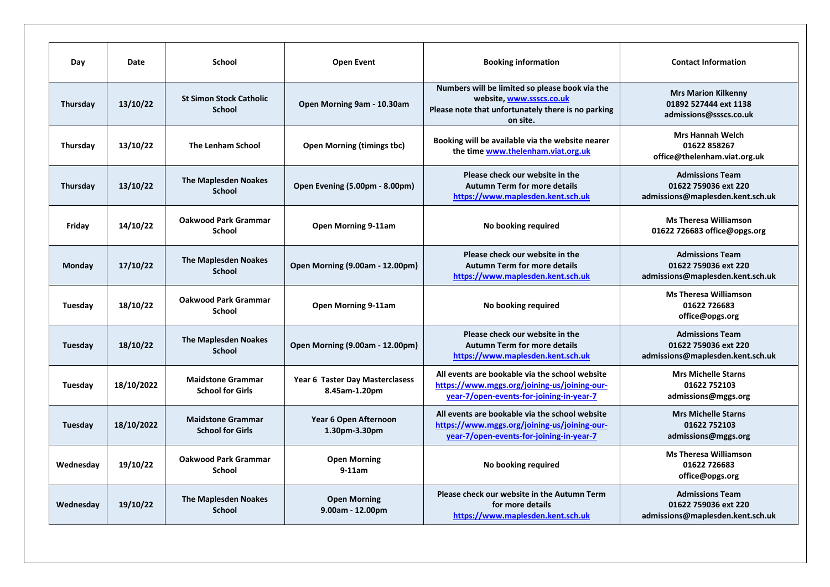| Day            | Date       | <b>School</b>                                       | <b>Open Event</b>                                | <b>Booking information</b>                                                                                                                   | <b>Contact Information</b>                                                         |
|----------------|------------|-----------------------------------------------------|--------------------------------------------------|----------------------------------------------------------------------------------------------------------------------------------------------|------------------------------------------------------------------------------------|
| Thursday       | 13/10/22   | <b>St Simon Stock Catholic</b><br><b>School</b>     | Open Morning 9am - 10.30am                       | Numbers will be limited so please book via the<br>website, www.ssscs.co.uk<br>Please note that unfortunately there is no parking<br>on site. | <b>Mrs Marion Kilkenny</b><br>01892 527444 ext 1138<br>admissions@ssscs.co.uk      |
| Thursday       | 13/10/22   | <b>The Lenham School</b>                            | <b>Open Morning (timings tbc)</b>                | Booking will be available via the website nearer<br>the time www.thelenham.viat.org.uk                                                       | <b>Mrs Hannah Welch</b><br>01622 858267<br>office@thelenham.viat.org.uk            |
| Thursday       | 13/10/22   | <b>The Maplesden Noakes</b><br><b>School</b>        | Open Evening (5.00pm - 8.00pm)                   | Please check our website in the<br><b>Autumn Term for more details</b><br>https://www.maplesden.kent.sch.uk                                  | <b>Admissions Team</b><br>01622 759036 ext 220<br>admissions@maplesden.kent.sch.uk |
| Friday         | 14/10/22   | <b>Oakwood Park Grammar</b><br><b>School</b>        | Open Morning 9-11am                              | No booking required                                                                                                                          | <b>Ms Theresa Williamson</b><br>01622 726683 office@opgs.org                       |
| Monday         | 17/10/22   | <b>The Maplesden Noakes</b><br><b>School</b>        | <b>Open Morning (9.00am - 12.00pm)</b>           | Please check our website in the<br><b>Autumn Term for more details</b><br>https://www.maplesden.kent.sch.uk                                  | <b>Admissions Team</b><br>01622 759036 ext 220<br>admissions@maplesden.kent.sch.uk |
| Tuesday        | 18/10/22   | <b>Oakwood Park Grammar</b><br><b>School</b>        | Open Morning 9-11am                              | No booking required                                                                                                                          | <b>Ms Theresa Williamson</b><br>01622 726683<br>office@opgs.org                    |
| <b>Tuesday</b> | 18/10/22   | <b>The Maplesden Noakes</b><br><b>School</b>        | <b>Open Morning (9.00am - 12.00pm)</b>           | Please check our website in the<br><b>Autumn Term for more details</b><br>https://www.maplesden.kent.sch.uk                                  | <b>Admissions Team</b><br>01622 759036 ext 220<br>admissions@maplesden.kent.sch.uk |
| Tuesday        | 18/10/2022 | <b>Maidstone Grammar</b><br><b>School for Girls</b> | Year 6 Taster Day Masterclasess<br>8.45am-1.20pm | All events are bookable via the school website<br>https://www.mggs.org/joining-us/joining-our-<br>year-7/open-events-for-joining-in-year-7   | <b>Mrs Michelle Starns</b><br>01622 752103<br>admissions@mggs.org                  |
| Tuesday        | 18/10/2022 | <b>Maidstone Grammar</b><br><b>School for Girls</b> | Year 6 Open Afternoon<br>1.30pm-3.30pm           | All events are bookable via the school website<br>https://www.mggs.org/joining-us/joining-our-<br>year-7/open-events-for-joining-in-year-7   | <b>Mrs Michelle Starns</b><br>01622 752103<br>admissions@mggs.org                  |
| Wednesday      | 19/10/22   | <b>Oakwood Park Grammar</b><br><b>School</b>        | <b>Open Morning</b><br>$9-11am$                  | No booking required                                                                                                                          | <b>Ms Theresa Williamson</b><br>01622 726683<br>office@opgs.org                    |
| Wednesday      | 19/10/22   | <b>The Maplesden Noakes</b><br><b>School</b>        | <b>Open Morning</b><br>9.00am - 12.00pm          | Please check our website in the Autumn Term<br>for more details<br>https://www.maplesden.kent.sch.uk                                         | <b>Admissions Team</b><br>01622 759036 ext 220<br>admissions@maplesden.kent.sch.uk |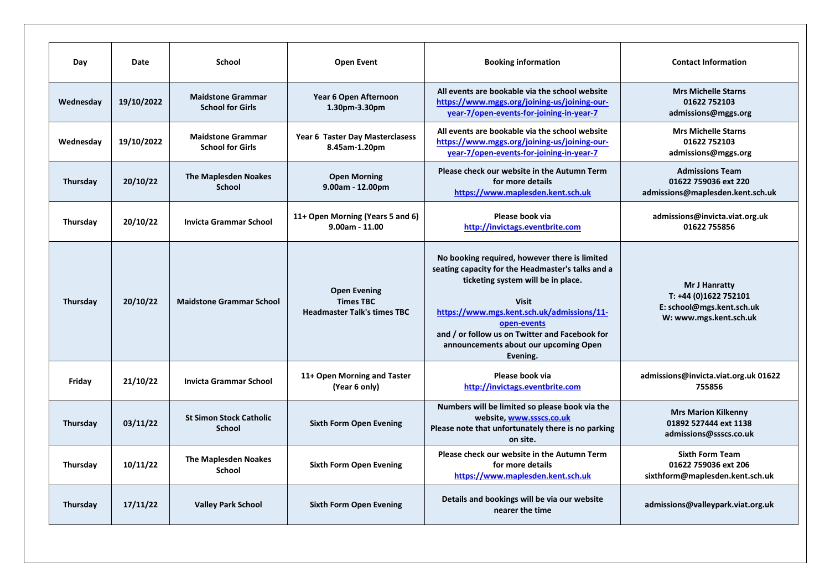| Day       | Date       | <b>School</b>                                       | <b>Open Event</b>                                                             | <b>Booking information</b>                                                                                                                                                                                                                                                                                                   | <b>Contact Information</b>                                                                    |
|-----------|------------|-----------------------------------------------------|-------------------------------------------------------------------------------|------------------------------------------------------------------------------------------------------------------------------------------------------------------------------------------------------------------------------------------------------------------------------------------------------------------------------|-----------------------------------------------------------------------------------------------|
| Wednesday | 19/10/2022 | <b>Maidstone Grammar</b><br><b>School for Girls</b> | Year 6 Open Afternoon<br>1.30pm-3.30pm                                        | All events are bookable via the school website<br>https://www.mggs.org/joining-us/joining-our-<br>year-7/open-events-for-joining-in-year-7                                                                                                                                                                                   | <b>Mrs Michelle Starns</b><br>01622 752103<br>admissions@mggs.org                             |
| Wednesday | 19/10/2022 | <b>Maidstone Grammar</b><br><b>School for Girls</b> | Year 6 Taster Day Masterclasess<br>8.45am-1.20pm                              | All events are bookable via the school website<br>https://www.mggs.org/joining-us/joining-our-<br>year-7/open-events-for-joining-in-year-7                                                                                                                                                                                   | <b>Mrs Michelle Starns</b><br>01622 752103<br>admissions@mggs.org                             |
| Thursday  | 20/10/22   | <b>The Maplesden Noakes</b><br><b>School</b>        | <b>Open Morning</b><br>$9.00am - 12.00pm$                                     | Please check our website in the Autumn Term<br>for more details<br>https://www.maplesden.kent.sch.uk                                                                                                                                                                                                                         | <b>Admissions Team</b><br>01622 759036 ext 220<br>admissions@maplesden.kent.sch.uk            |
| Thursday  | 20/10/22   | <b>Invicta Grammar School</b>                       | 11+ Open Morning (Years 5 and 6)<br>$9.00am - 11.00$                          | Please book via<br>http://invictags.eventbrite.com                                                                                                                                                                                                                                                                           | admissions@invicta.viat.org.uk<br>01622 755856                                                |
| Thursday  | 20/10/22   | <b>Maidstone Grammar School</b>                     | <b>Open Evening</b><br><b>Times TBC</b><br><b>Headmaster Talk's times TBC</b> | No booking required, however there is limited<br>seating capacity for the Headmaster's talks and a<br>ticketing system will be in place.<br><b>Visit</b><br>https://www.mgs.kent.sch.uk/admissions/11-<br>open-events<br>and / or follow us on Twitter and Facebook for<br>announcements about our upcoming Open<br>Evening. | Mr J Hanratty<br>T: +44 (0)1622 752101<br>E: school@mgs.kent.sch.uk<br>W: www.mgs.kent.sch.uk |
| Friday    | 21/10/22   | <b>Invicta Grammar School</b>                       | 11+ Open Morning and Taster<br>(Year 6 only)                                  | Please book via<br>http://invictags.eventbrite.com                                                                                                                                                                                                                                                                           | admissions@invicta.viat.org.uk 01622<br>755856                                                |
| Thursday  | 03/11/22   | <b>St Simon Stock Catholic</b><br><b>School</b>     | <b>Sixth Form Open Evening</b>                                                | Numbers will be limited so please book via the<br>website, www.ssscs.co.uk<br>Please note that unfortunately there is no parking<br>on site.                                                                                                                                                                                 | <b>Mrs Marion Kilkenny</b><br>01892 527444 ext 1138<br>admissions@ssscs.co.uk                 |
| Thursday  | 10/11/22   | <b>The Maplesden Noakes</b><br><b>School</b>        | <b>Sixth Form Open Evening</b>                                                | Please check our website in the Autumn Term<br>for more details<br>https://www.maplesden.kent.sch.uk                                                                                                                                                                                                                         | <b>Sixth Form Team</b><br>01622 759036 ext 206<br>sixthform@maplesden.kent.sch.uk             |
| Thursday  | 17/11/22   | <b>Valley Park School</b>                           | <b>Sixth Form Open Evening</b>                                                | Details and bookings will be via our website<br>nearer the time                                                                                                                                                                                                                                                              | admissions@valleypark.viat.org.uk                                                             |